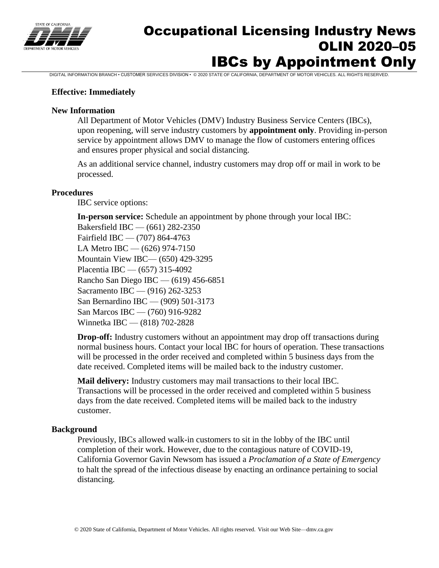

# Occupational Licensing Industry News OLIN 2020–05 IBCs by Appointment Only

DIGITAL INFORMATION BRANCH • CUSTOMER SERVICES DIVISION • © 2020 STATE OF CALIFORNIA, DEPARTMENT OF MOTOR VEHICLES. ALL RIGHTS RESERVED.

#### **Effective: Immediately**

#### **New Information**

All Department of Motor Vehicles (DMV) Industry Business Service Centers (IBCs), upon reopening, will serve industry customers by **appointment only**. Providing in-person service by appointment allows DMV to manage the flow of customers entering offices and ensures proper physical and social distancing.

As an additional service channel, industry customers may drop off or mail in work to be processed.

#### **Procedures**

IBC service options:

**In-person service:** Schedule an appointment by phone through your local IBC: Bakersfield IBC — (661) 282-2350 Fairfield IBC — (707) 864-4763 LA Metro IBC — (626) 974-7150 Mountain View IBC— (650) 429-3295 Placentia IBC — (657) 315-4092 Rancho San Diego IBC — (619) 456-6851 Sacramento IBC — (916) 262-3253 San Bernardino IBC — (909) 501-3173 San Marcos IBC — (760) 916-9282 Winnetka IBC — (818) 702-2828

**Drop-off:** Industry customers without an appointment may drop off transactions during normal business hours. Contact your local IBC for hours of operation. These transactions will be processed in the order received and completed within 5 business days from the date received. Completed items will be mailed back to the industry customer.

**Mail delivery:** Industry customers may mail transactions to their local IBC. Transactions will be processed in the order received and completed within 5 business days from the date received. Completed items will be mailed back to the industry customer.

#### **Background**

Previously, IBCs allowed walk-in customers to sit in the lobby of the IBC until completion of their work. However, due to the contagious nature of COVID-19, California Governor Gavin Newsom has issued a *Proclamation of a State of Emergency* to halt the spread of the infectious disease by enacting an ordinance pertaining to social distancing.